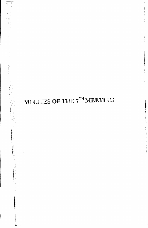## MINUTES OF THE  $7^{TH}$  MEETING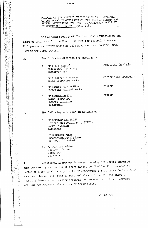MINUTES OF THE MEETING OF THE EXECUTIVE COMMITTEE OF THE BOARD OF GOVERNORS OF THE HOUSING SCHEME FOR ISLAMABAD HELD ON 28TH JUNE, 1989

The Seventh meeting of the Executive Committee of the Board of Governors for the Housing Scheme for Federal Government Employees on ownership basis at Islamabad was held on 28th June, 1989 in the Works Division.

\*\*\*\*\*

 $2.$ 

 $3.$ 

Ă,

 $\Phi_{\frac{1}{2}}$ 

「大学の人物の人物の人物」という「人物」という「人物」という「人物」という「人物」という「人物」という「人物」という「人物」という「人物」という「人物」という「人物」という「人物」という「人物」という

The following attended the meeting :-

- a. Mr S A S Ainuddin Additional Secretary Incharge (H&W)
- b. Mr A Rashid K Raloch Joint Secretary Works)
- c. Mr Hameed Akhtar Niazi Financial Advisor Works)
- d. Mr Samiullah Khan Joint Secretary Cabinet Division Rawalpindi

The following were also in attendance:-

- a. Mr Sarshar Ali Malik Officer on Special Duty (P&EC) Works Division Islamabad.
- b. Mr M Rasool Khan Superintending Engineer Pak PWD, Islamabad.
- c. Mr Perviez Akhter Section Officer Works Division Islamabad

Additional Secretary Incharge (Housing and Works) informed 4. that the meeting was called at short notice to finalise the issuance of letter of offer to those applicants of categories I & II whose declarations have been checked and found correct and also to discuss the cases of those applicants whose earlier declarations were not considered correct and who had requested for review of their cases.

Contd.P/2.

President In Chair

Senior Vice Presiden:

Member

Member

 $\overline{1}$ 

化维生物型化

 $\begin{array}{c} \mathbf{i}_1 \\ \mathbf{j}_1 \\ \mathbf{k}_2 \end{array}$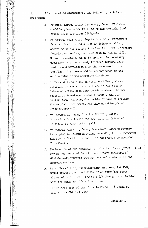5. After detailed discussions, the following decisions were taken :-

- a. Mr Fazal Karim, Deputy Secretary, Labour Division would be gIven priority II as he has two 1nher1ted houses which are under litigation.
- b. Mr Shamsul Huda Azizi, Deputy Secretary, Management Services Division had a flat in Islamabad which, accordinr to his statement before Additional secretary (Housing and Works)) had been sold by him in 1985. He was, therefore, asked to produce the necessary documents, e.g. sale deed, transfer letter, registration and permission from the government to sell the flat. His case would be reconsidered in the next meeting of the Executive Committee.
- c. Mr Mahmood Ahmad Khan, ex-Section Officer, Works Division, Islamabad owned a house in his name at Islamabad which, according to his statement before Additional Secretary(Eousing & Works), had been sold by him. However, due to his failure to provide the requisite documents, his case would be placed under priority-II.
- d. Mr Rahmatullah Khan, Director General, Wafaqi Mohtasib's Secretariat has two plots in Islamabad. He should be given priority-II.
- e. Mr Fasahat Hussain , Deputy Secretary Planning Divisio had a plot in Islamabad which, according to his statement had been gifted to his son. His case would be accorded Priority-II .
- f. Declaration of the remaining applicants of categories I & IJ may be pot verified from the respective ministries/ divisions/departments through personal contacts at the appropriate level.
- g. Mr M. Rasool Khan, Superintending Englreer, Pak FWD, would explore the possibility of shifting"the plots allocated in Sectors  $I-8/2$  to  $I-8/3$  through coordination with the concerned CDA authorities.
- h. The balance cost of the plots in sector 1-8 would be paid to the CDA forthwith.

i .

Contd.P/3.

i I:.

'.1 . ,

,

I, J: H ji

Ii

t :11

t

,. ;:1 , I